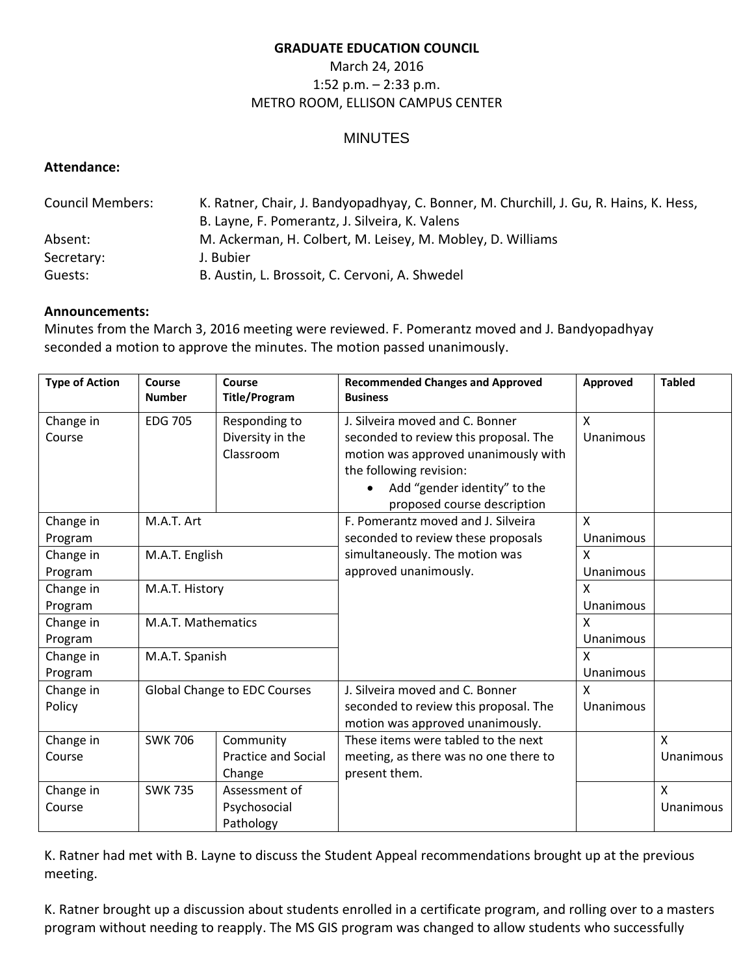#### **GRADUATE EDUCATION COUNCIL**

# March 24, 2016 1:52 p.m. – 2:33 p.m. METRO ROOM, ELLISON CAMPUS CENTER

## **MINUTES**

### **Attendance:**

| <b>Council Members:</b> | K. Ratner, Chair, J. Bandyopadhyay, C. Bonner, M. Churchill, J. Gu, R. Hains, K. Hess, |  |  |  |
|-------------------------|----------------------------------------------------------------------------------------|--|--|--|
|                         | B. Layne, F. Pomerantz, J. Silveira, K. Valens                                         |  |  |  |
| Absent:                 | M. Ackerman, H. Colbert, M. Leisey, M. Mobley, D. Williams                             |  |  |  |
| Secretary:              | J. Bubier                                                                              |  |  |  |
| Guests:                 | B. Austin, L. Brossoit, C. Cervoni, A. Shwedel                                         |  |  |  |

### **Announcements:**

Minutes from the March 3, 2016 meeting were reviewed. F. Pomerantz moved and J. Bandyopadhyay seconded a motion to approve the minutes. The motion passed unanimously.

| <b>Type of Action</b> | Course<br><b>Number</b>      | Course<br><b>Title/Program</b>                 | <b>Recommended Changes and Approved</b><br><b>Business</b>                                                                                                                                                 | Approved                               | <b>Tabled</b> |
|-----------------------|------------------------------|------------------------------------------------|------------------------------------------------------------------------------------------------------------------------------------------------------------------------------------------------------------|----------------------------------------|---------------|
| Change in<br>Course   | <b>EDG 705</b>               | Responding to<br>Diversity in the<br>Classroom | J. Silveira moved and C. Bonner<br>seconded to review this proposal. The<br>motion was approved unanimously with<br>the following revision:<br>Add "gender identity" to the<br>proposed course description | $\boldsymbol{\mathsf{X}}$<br>Unanimous |               |
| Change in             | M.A.T. Art                   |                                                | F. Pomerantz moved and J. Silveira                                                                                                                                                                         | $\boldsymbol{\mathsf{X}}$              |               |
| Program               |                              |                                                | seconded to review these proposals                                                                                                                                                                         | Unanimous                              |               |
| Change in             | M.A.T. English               |                                                | simultaneously. The motion was                                                                                                                                                                             | $\boldsymbol{\mathsf{X}}$              |               |
| Program               |                              |                                                | approved unanimously.                                                                                                                                                                                      | Unanimous                              |               |
| Change in             | M.A.T. History               |                                                |                                                                                                                                                                                                            | X                                      |               |
| Program               |                              |                                                |                                                                                                                                                                                                            | Unanimous                              |               |
| Change in             | M.A.T. Mathematics           |                                                |                                                                                                                                                                                                            | $\mathsf{x}$                           |               |
| Program               |                              |                                                |                                                                                                                                                                                                            | Unanimous                              |               |
| Change in             | M.A.T. Spanish               |                                                |                                                                                                                                                                                                            | X                                      |               |
| Program               |                              |                                                |                                                                                                                                                                                                            | Unanimous                              |               |
| Change in             | Global Change to EDC Courses |                                                | J. Silveira moved and C. Bonner                                                                                                                                                                            | $\boldsymbol{\mathsf{X}}$              |               |
| Policy                |                              |                                                | seconded to review this proposal. The<br>motion was approved unanimously.                                                                                                                                  | Unanimous                              |               |
| Change in             | <b>SWK 706</b>               | Community                                      | These items were tabled to the next                                                                                                                                                                        |                                        | $\mathsf{X}$  |
| Course                |                              | <b>Practice and Social</b>                     | meeting, as there was no one there to                                                                                                                                                                      |                                        | Unanimous     |
|                       |                              | Change                                         | present them.                                                                                                                                                                                              |                                        |               |
| Change in             | <b>SWK 735</b>               | Assessment of                                  |                                                                                                                                                                                                            |                                        | $\mathsf{X}$  |
| Course                |                              | Psychosocial                                   |                                                                                                                                                                                                            |                                        | Unanimous     |
|                       |                              | Pathology                                      |                                                                                                                                                                                                            |                                        |               |

K. Ratner had met with B. Layne to discuss the Student Appeal recommendations brought up at the previous meeting.

K. Ratner brought up a discussion about students enrolled in a certificate program, and rolling over to a masters program without needing to reapply. The MS GIS program was changed to allow students who successfully